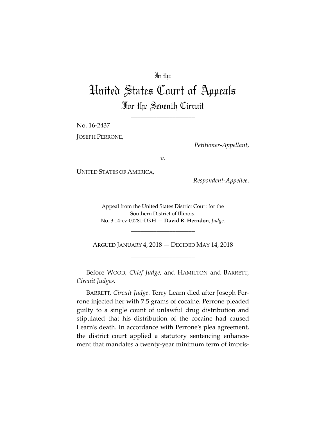# In the

# United States Court of Appeals For the Seventh Circuit

\_\_\_\_\_\_\_\_\_\_\_\_\_\_\_\_\_\_\_\_

No. 16-2437

JOSEPH PERRONE,

*Petitioner-Appellant*,

*v.*

UNITED STATES OF AMERICA,

*Respondent-Appellee*.

Appeal from the United States District Court for the Southern District of Illinois. No. 3:14-cv-00281-DRH — **David R. Herndon**, *Judge*.

\_\_\_\_\_\_\_\_\_\_\_\_\_\_\_\_\_\_\_\_

\_\_\_\_\_\_\_\_\_\_\_\_\_\_\_\_\_\_\_\_

ARGUED JANUARY 4, 2018 — DECIDED MAY 14, 2018 \_\_\_\_\_\_\_\_\_\_\_\_\_\_\_\_\_\_\_\_

Before WOOD, *Chief Judge*, and HAMILTON and BARRETT, *Circuit Judges*.

BARRETT, *Circuit Judge*. Terry Learn died after Joseph Perrone injected her with 7.5 grams of cocaine. Perrone pleaded guilty to a single count of unlawful drug distribution and stipulated that his distribution of the cocaine had caused Learn's death. In accordance with Perrone's plea agreement, the district court applied a statutory sentencing enhancement that mandates a twenty-year minimum term of impris-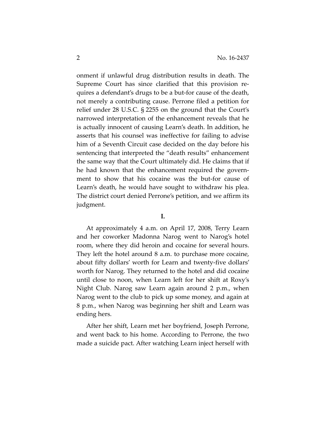onment if unlawful drug distribution results in death. The Supreme Court has since clarified that this provision requires a defendant's drugs to be a but-for cause of the death, not merely a contributing cause. Perrone filed a petition for relief under 28 U.S.C. § 2255 on the ground that the Court's narrowed interpretation of the enhancement reveals that he is actually innocent of causing Learn's death. In addition, he asserts that his counsel was ineffective for failing to advise him of a Seventh Circuit case decided on the day before his sentencing that interpreted the "death results" enhancement the same way that the Court ultimately did. He claims that if he had known that the enhancement required the government to show that his cocaine was the but-for cause of Learn's death, he would have sought to withdraw his plea. The district court denied Perrone's petition, and we affirm its judgment.

# **I.**

At approximately 4 a.m. on April 17, 2008, Terry Learn and her coworker Madonna Narog went to Narog's hotel room, where they did heroin and cocaine for several hours. They left the hotel around 8 a.m. to purchase more cocaine, about fifty dollars' worth for Learn and twenty-five dollars' worth for Narog. They returned to the hotel and did cocaine until close to noon, when Learn left for her shift at Roxy's Night Club. Narog saw Learn again around 2 p.m., when Narog went to the club to pick up some money, and again at 8 p.m., when Narog was beginning her shift and Learn was ending hers.

After her shift, Learn met her boyfriend, Joseph Perrone, and went back to his home. According to Perrone, the two made a suicide pact. After watching Learn inject herself with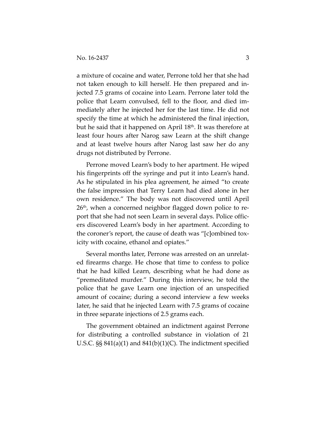a mixture of cocaine and water, Perrone told her that she had not taken enough to kill herself. He then prepared and injected 7.5 grams of cocaine into Learn. Perrone later told the police that Learn convulsed, fell to the floor, and died immediately after he injected her for the last time. He did not specify the time at which he administered the final injection, but he said that it happened on April 18<sup>th</sup>. It was therefore at least four hours after Narog saw Learn at the shift change and at least twelve hours after Narog last saw her do any drugs not distributed by Perrone.

Perrone moved Learn's body to her apartment. He wiped his fingerprints off the syringe and put it into Learn's hand. As he stipulated in his plea agreement, he aimed "to create the false impression that Terry Learn had died alone in her own residence." The body was not discovered until April 26<sup>th</sup>, when a concerned neighbor flagged down police to report that she had not seen Learn in several days. Police officers discovered Learn's body in her apartment. According to the coroner's report, the cause of death was "[c]ombined toxicity with cocaine, ethanol and opiates."

Several months later, Perrone was arrested on an unrelated firearms charge. He chose that time to confess to police that he had killed Learn, describing what he had done as "premeditated murder." During this interview, he told the police that he gave Learn one injection of an unspecified amount of cocaine; during a second interview a few weeks later, he said that he injected Learn with 7.5 grams of cocaine in three separate injections of 2.5 grams each.

The government obtained an indictment against Perrone for distributing a controlled substance in violation of 21 U.S.C. §§ 841(a)(1) and 841(b)(1)(C). The indictment specified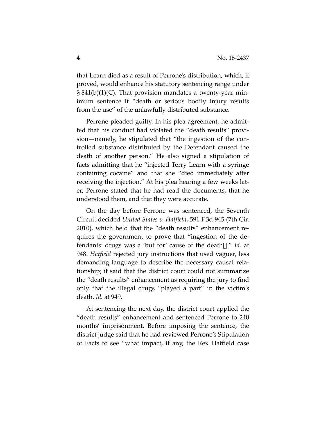that Learn died as a result of Perrone's distribution, which, if proved, would enhance his statutory sentencing range under  $\S 841(b)(1)(C)$ . That provision mandates a twenty-year minimum sentence if "death or serious bodily injury results from the use" of the unlawfully distributed substance.

Perrone pleaded guilty. In his plea agreement, he admitted that his conduct had violated the "death results" provision—namely, he stipulated that "the ingestion of the controlled substance distributed by the Defendant caused the death of another person." He also signed a stipulation of facts admitting that he "injected Terry Learn with a syringe containing cocaine" and that she "died immediately after receiving the injection." At his plea hearing a few weeks later, Perrone stated that he had read the documents, that he understood them, and that they were accurate.

On the day before Perrone was sentenced, the Seventh Circuit decided *United States v. Hatfield*, 591 F.3d 945 (7th Cir. 2010), which held that the "death results" enhancement requires the government to prove that "ingestion of the defendants' drugs was a 'but for' cause of the death[]." *Id.* at 948. *Hatfield* rejected jury instructions that used vaguer, less demanding language to describe the necessary causal relationship; it said that the district court could not summarize the "death results" enhancement as requiring the jury to find only that the illegal drugs "played a part" in the victim's death. *Id.* at 949.

At sentencing the next day, the district court applied the "death results" enhancement and sentenced Perrone to 240 months' imprisonment. Before imposing the sentence, the district judge said that he had reviewed Perrone's Stipulation of Facts to see "what impact, if any, the Rex Hatfield case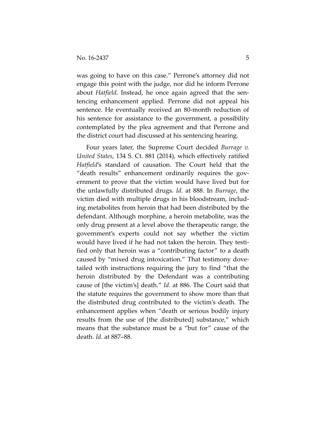was going to have on this case." Perrone's attorney did not engage this point with the judge, nor did he inform Perrone about *Hatfield*. Instead, he once again agreed that the sentencing enhancement applied. Perrone did not appeal his sentence. He eventually received an 80-month reduction of his sentence for assistance to the government, a possibility contemplated by the plea agreement and that Perrone and the district court had discussed at his sentencing hearing.

Four years later, the Supreme Court decided *Burrage v. United States*, 134 S. Ct. 881 (2014), which effectively ratified *Hatfield*'s standard of causation. The Court held that the "death results" enhancement ordinarily requires the government to prove that the victim would have lived but for the unlawfully distributed drugs. *Id.* at 888. In *Burrage*, the victim died with multiple drugs in his bloodstream, including metabolites from heroin that had been distributed by the defendant. Although morphine, a heroin metabolite, was the only drug present at a level above the therapeutic range, the government's experts could not say whether the victim would have lived if he had not taken the heroin. They testified only that heroin was a "contributing factor" to a death caused by "mixed drug intoxication." That testimony dovetailed with instructions requiring the jury to find "that the heroin distributed by the Defendant was a contributing cause of [the victim's] death." *Id.* at 886. The Court said that the statute requires the government to show more than that the distributed drug contributed to the victim's death. The enhancement applies when "death or serious bodily injury results from the use of [the distributed] substance," which means that the substance must be a "but for" cause of the death. *Id.* at 887–88.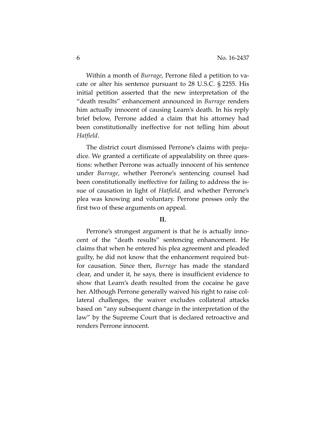Within a month of *Burrage*, Perrone filed a petition to vacate or alter his sentence pursuant to 28 U.S.C. § 2255. His initial petition asserted that the new interpretation of the "death results" enhancement announced in *Burrage* renders him actually innocent of causing Learn's death. In his reply brief below, Perrone added a claim that his attorney had been constitutionally ineffective for not telling him about *Hatfield*.

The district court dismissed Perrone's claims with prejudice. We granted a certificate of appealability on three questions: whether Perrone was actually innocent of his sentence under *Burrage*, whether Perrone's sentencing counsel had been constitutionally ineffective for failing to address the issue of causation in light of *Hatfield*, and whether Perrone's plea was knowing and voluntary. Perrone presses only the first two of these arguments on appeal.

#### **II.**

Perrone's strongest argument is that he is actually innocent of the "death results" sentencing enhancement. He claims that when he entered his plea agreement and pleaded guilty, he did not know that the enhancement required butfor causation. Since then, *Burrage* has made the standard clear, and under it, he says, there is insufficient evidence to show that Learn's death resulted from the cocaine he gave her. Although Perrone generally waived his right to raise collateral challenges, the waiver excludes collateral attacks based on "any subsequent change in the interpretation of the law" by the Supreme Court that is declared retroactive and renders Perrone innocent.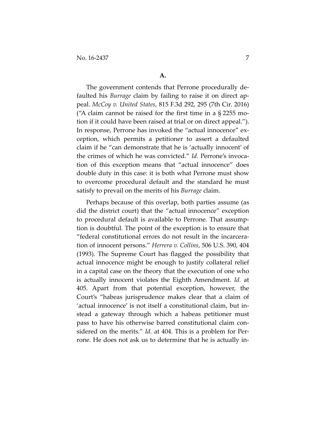The government contends that Perrone procedurally defaulted his *Burrage* claim by failing to raise it on direct appeal. *McCoy v. United States*, 815 F.3d 292, 295 (7th Cir. 2016) ("A claim cannot be raised for the first time in a  $\S 2255$  motion if it could have been raised at trial or on direct appeal."). In response, Perrone has invoked the "actual innocence" exception, which permits a petitioner to assert a defaulted claim if he "can demonstrate that he is 'actually innocent' of the crimes of which he was convicted." *Id.* Perrone's invocation of this exception means that "actual innocence" does double duty in this case: it is both what Perrone must show to overcome procedural default and the standard he must satisfy to prevail on the merits of his *Burrage* claim.

Perhaps because of this overlap, both parties assume (as did the district court) that the "actual innocence" exception to procedural default is available to Perrone. That assumption is doubtful. The point of the exception is to ensure that "federal constitutional errors do not result in the incarceration of innocent persons." *Herrera v. Collins*, 506 U.S. 390, 404 (1993). The Supreme Court has flagged the possibility that actual innocence might be enough to justify collateral relief in a capital case on the theory that the execution of one who is actually innocent violates the Eighth Amendment. *Id.* at 405. Apart from that potential exception, however, the Court's "habeas jurisprudence makes clear that a claim of 'actual innocence' is not itself a constitutional claim, but instead a gateway through which a habeas petitioner must pass to have his otherwise barred constitutional claim considered on the merits." *Id.* at 404. This is a problem for Perrone. He does not ask us to determine that he is actually in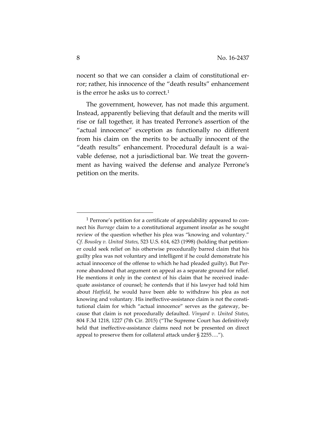nocent so that we can consider a claim of constitutional error; rather, his innocence of the "death results" enhancement is the error he asks us to correct.1

The government, however, has not made this argument. Instead, apparently believing that default and the merits will rise or fall together, it has treated Perrone's assertion of the "actual innocence" exception as functionally no different from his claim on the merits to be actually innocent of the "death results" enhancement. Procedural default is a waivable defense, not a jurisdictional bar. We treat the government as having waived the defense and analyze Perrone's petition on the merits.

<sup>&</sup>lt;sup>1</sup> Perrone's petition for a certificate of appealability appeared to connect his *Burrage* claim to a constitutional argument insofar as he sought review of the question whether his plea was "knowing and voluntary." *Cf. Bousley v. United States*, 523 U.S. 614, 623 (1998) (holding that petitioner could seek relief on his otherwise procedurally barred claim that his guilty plea was not voluntary and intelligent if he could demonstrate his actual innocence of the offense to which he had pleaded guilty). But Perrone abandoned that argument on appeal as a separate ground for relief. He mentions it only in the context of his claim that he received inadequate assistance of counsel; he contends that if his lawyer had told him about *Hatfield*, he would have been able to withdraw his plea as not knowing and voluntary. His ineffective-assistance claim is not the constitutional claim for which "actual innocence" serves as the gateway, because that claim is not procedurally defaulted. *Vinyard v. United States*, 804 F.3d 1218, 1227 (7th Cir. 2015) ("The Supreme Court has definitively held that ineffective-assistance claims need not be presented on direct appeal to preserve them for collateral attack under § 2255….").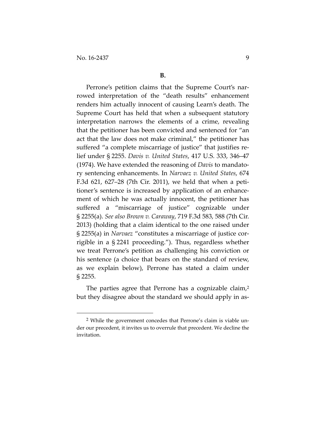Perrone's petition claims that the Supreme Court's narrowed interpretation of the "death results" enhancement renders him actually innocent of causing Learn's death. The Supreme Court has held that when a subsequent statutory interpretation narrows the elements of a crime, revealing that the petitioner has been convicted and sentenced for "an act that the law does not make criminal," the petitioner has suffered "a complete miscarriage of justice" that justifies relief under § 2255. *Davis v. United States*, 417 U.S. 333, 346–47 (1974). We have extended the reasoning of *Davis* to mandatory sentencing enhancements. In *Narvaez v. United States*, 674 F.3d 621, 627–28 (7th Cir. 2011), we held that when a petitioner's sentence is increased by application of an enhancement of which he was actually innocent, the petitioner has suffered a "miscarriage of justice" cognizable under § 2255(a). *See also Brown v. Caraway*, 719 F.3d 583, 588 (7th Cir. 2013) (holding that a claim identical to the one raised under § 2255(a) in *Narvaez* "constitutes a miscarriage of justice corrigible in a § 2241 proceeding."). Thus, regardless whether we treat Perrone's petition as challenging his conviction or his sentence (a choice that bears on the standard of review, as we explain below), Perrone has stated a claim under § 2255.

The parties agree that Perrone has a cognizable claim,<sup>2</sup> but they disagree about the standard we should apply in as-

 <sup>2</sup> While the government concedes that Perrone's claim is viable under our precedent, it invites us to overrule that precedent. We decline the invitation.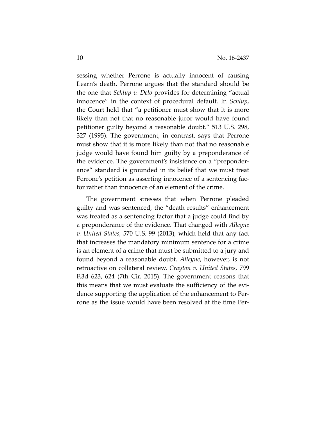sessing whether Perrone is actually innocent of causing Learn's death. Perrone argues that the standard should be the one that *Schlup v. Delo* provides for determining "actual innocence" in the context of procedural default. In *Schlup*, the Court held that "a petitioner must show that it is more likely than not that no reasonable juror would have found petitioner guilty beyond a reasonable doubt." 513 U.S. 298, 327 (1995). The government, in contrast, says that Perrone must show that it is more likely than not that no reasonable judge would have found him guilty by a preponderance of the evidence. The government's insistence on a "preponderance" standard is grounded in its belief that we must treat Perrone's petition as asserting innocence of a sentencing factor rather than innocence of an element of the crime.

The government stresses that when Perrone pleaded guilty and was sentenced, the "death results" enhancement was treated as a sentencing factor that a judge could find by a preponderance of the evidence. That changed with *Alleyne v. United States*, 570 U.S. 99 (2013), which held that any fact that increases the mandatory minimum sentence for a crime is an element of a crime that must be submitted to a jury and found beyond a reasonable doubt. *Alleyne*, however, is not retroactive on collateral review. *Crayton v. United States*, 799 F.3d 623, 624 (7th Cir. 2015). The government reasons that this means that we must evaluate the sufficiency of the evidence supporting the application of the enhancement to Perrone as the issue would have been resolved at the time Per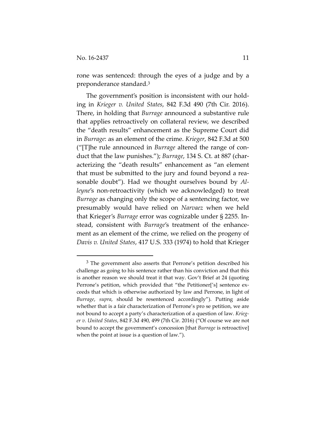rone was sentenced: through the eyes of a judge and by a preponderance standard.3

The government's position is inconsistent with our holding in *Krieger v. United States*, 842 F.3d 490 (7th Cir. 2016). There, in holding that *Burrage* announced a substantive rule that applies retroactively on collateral review, we described the "death results" enhancement as the Supreme Court did in *Burrage*: as an element of the crime. *Krieger*, 842 F.3d at 500 ("[T]he rule announced in *Burrage* altered the range of conduct that the law punishes."); *Burrage*, 134 S. Ct. at 887 (characterizing the "death results" enhancement as "an element that must be submitted to the jury and found beyond a reasonable doubt"). Had we thought ourselves bound by *Alleyne*'s non-retroactivity (which we acknowledged) to treat *Burrage* as changing only the scope of a sentencing factor, we presumably would have relied on *Narvaez* when we held that Krieger's *Burrage* error was cognizable under § 2255. Instead, consistent with *Burrage*'s treatment of the enhancement as an element of the crime, we relied on the progeny of *Davis v. United States*, 417 U.S. 333 (1974) to hold that Krieger

 <sup>3</sup> The government also asserts that Perrone's petition described his challenge as going to his sentence rather than his conviction and that this is another reason we should treat it that way. Gov't Brief at 24 (quoting Perrone's petition, which provided that "the Petitioner['s] sentence exceeds that which is otherwise authorized by law and Perrone, in light of *Burrage*, *supra*, should be resentenced accordingly"). Putting aside whether that is a fair characterization of Perrone's pro se petition, we are not bound to accept a party's characterization of a question of law. *Krieger v. United States*, 842 F.3d 490, 499 (7th Cir. 2016) ("Of course we are not bound to accept the government's concession [that *Burrage* is retroactive] when the point at issue is a question of law.").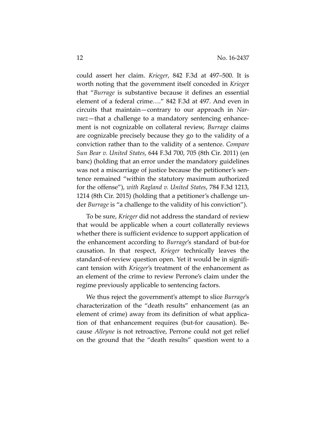could assert her claim. *Krieger*, 842 F.3d at 497–500. It is worth noting that the government itself conceded in *Kriege*r that "*Burrage* is substantive because it defines an essential element of a federal crime…." 842 F.3d at 497. And even in circuits that maintain—contrary to our approach in *Narvaez*—that a challenge to a mandatory sentencing enhancement is not cognizable on collateral review, *Burrage* claims are cognizable precisely because they go to the validity of a conviction rather than to the validity of a sentence. *Compare Sun Bear v. United States*, 644 F.3d 700, 705 (8th Cir. 2011) (en banc) (holding that an error under the mandatory guidelines was not a miscarriage of justice because the petitioner's sentence remained "within the statutory maximum authorized for the offense"), *with Ragland v. United States*, 784 F.3d 1213, 1214 (8th Cir. 2015) (holding that a petitioner's challenge under *Burrage* is "a challenge to the validity of his conviction").

To be sure, *Krieger* did not address the standard of review that would be applicable when a court collaterally reviews whether there is sufficient evidence to support application of the enhancement according to *Burrage*'s standard of but-for causation. In that respect, *Krieger* technically leaves the standard-of-review question open. Yet it would be in significant tension with *Krieger*'s treatment of the enhancement as an element of the crime to review Perrone's claim under the regime previously applicable to sentencing factors.

We thus reject the government's attempt to slice *Burrage*'s characterization of the "death results" enhancement (as an element of crime) away from its definition of what application of that enhancement requires (but-for causation). Because *Alleyne* is not retroactive, Perrone could not get relief on the ground that the "death results" question went to a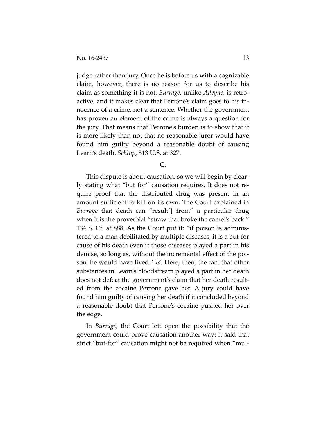judge rather than jury. Once he is before us with a cognizable claim, however, there is no reason for us to describe his claim as something it is not. *Burrage*, unlike *Alleyne*, is retroactive, and it makes clear that Perrone's claim goes to his innocence of a crime, not a sentence. Whether the government has proven an element of the crime is always a question for the jury. That means that Perrone's burden is to show that it is more likely than not that no reasonable juror would have found him guilty beyond a reasonable doubt of causing Learn's death. *Schlup*, 513 U.S. at 327.

#### **C.**

This dispute is about causation, so we will begin by clearly stating what "but for" causation requires. It does not require proof that the distributed drug was present in an amount sufficient to kill on its own. The Court explained in *Burrage* that death can "result[] from" a particular drug when it is the proverbial "straw that broke the camel's back." 134 S. Ct. at 888. As the Court put it: "if poison is administered to a man debilitated by multiple diseases, it is a but-for cause of his death even if those diseases played a part in his demise, so long as, without the incremental effect of the poison, he would have lived." *Id.* Here, then, the fact that other substances in Learn's bloodstream played a part in her death does not defeat the government's claim that her death resulted from the cocaine Perrone gave her. A jury could have found him guilty of causing her death if it concluded beyond a reasonable doubt that Perrone's cocaine pushed her over the edge.

In *Burrage*, the Court left open the possibility that the government could prove causation another way: it said that strict "but-for" causation might not be required when "mul-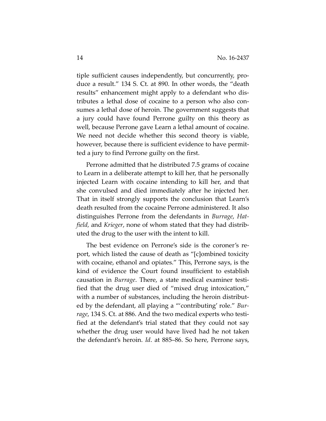tiple sufficient causes independently, but concurrently, produce a result." 134 S. Ct. at 890. In other words, the "death results" enhancement might apply to a defendant who distributes a lethal dose of cocaine to a person who also consumes a lethal dose of heroin. The government suggests that a jury could have found Perrone guilty on this theory as well, because Perrone gave Learn a lethal amount of cocaine. We need not decide whether this second theory is viable, however, because there is sufficient evidence to have permitted a jury to find Perrone guilty on the first.

Perrone admitted that he distributed 7.5 grams of cocaine to Learn in a deliberate attempt to kill her, that he personally injected Learn with cocaine intending to kill her, and that she convulsed and died immediately after he injected her. That in itself strongly supports the conclusion that Learn's death resulted from the cocaine Perrone administered. It also distinguishes Perrone from the defendants in *Burrage*, *Hatfield,* and *Krieger*, none of whom stated that they had distributed the drug to the user with the intent to kill.

The best evidence on Perrone's side is the coroner's report, which listed the cause of death as "[c]ombined toxicity with cocaine, ethanol and opiates." This, Perrone says, is the kind of evidence the Court found insufficient to establish causation in *Burrage*. There, a state medical examiner testified that the drug user died of "mixed drug intoxication," with a number of substances, including the heroin distributed by the defendant, all playing a "'contributing' role." *Burrage*, 134 S. Ct. at 886. And the two medical experts who testified at the defendant's trial stated that they could not say whether the drug user would have lived had he not taken the defendant's heroin. *Id*. at 885–86. So here, Perrone says,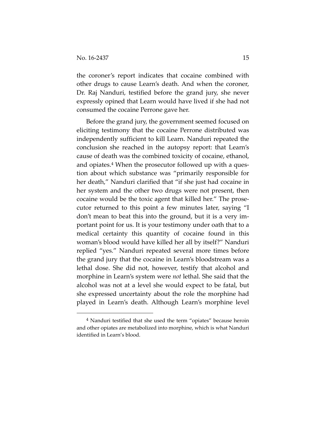the coroner's report indicates that cocaine combined with other drugs to cause Learn's death. And when the coroner, Dr. Raj Nanduri, testified before the grand jury, she never expressly opined that Learn would have lived if she had not consumed the cocaine Perrone gave her.

Before the grand jury, the government seemed focused on eliciting testimony that the cocaine Perrone distributed was independently sufficient to kill Learn. Nanduri repeated the conclusion she reached in the autopsy report: that Learn's cause of death was the combined toxicity of cocaine, ethanol, and opiates.4 When the prosecutor followed up with a question about which substance was "primarily responsible for her death," Nanduri clarified that "if she just had cocaine in her system and the other two drugs were not present, then cocaine would be the toxic agent that killed her." The prosecutor returned to this point a few minutes later, saying "I don't mean to beat this into the ground, but it is a very important point for us. It is your testimony under oath that to a medical certainty this quantity of cocaine found in this woman's blood would have killed her all by itself?" Nanduri replied "yes." Nanduri repeated several more times before the grand jury that the cocaine in Learn's bloodstream was a lethal dose. She did not, however, testify that alcohol and morphine in Learn's system were *not* lethal. She said that the alcohol was not at a level she would expect to be fatal, but she expressed uncertainty about the role the morphine had played in Learn's death. Although Learn's morphine level

 <sup>4</sup> Nanduri testified that she used the term "opiates" because heroin and other opiates are metabolized into morphine, which is what Nanduri identified in Learn's blood.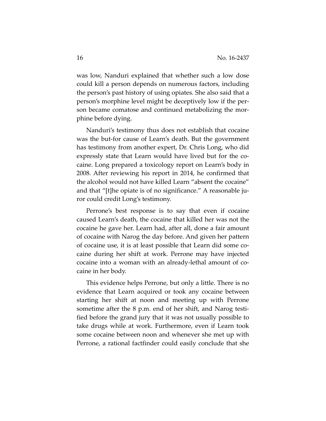was low, Nanduri explained that whether such a low dose could kill a person depends on numerous factors, including the person's past history of using opiates. She also said that a person's morphine level might be deceptively low if the person became comatose and continued metabolizing the morphine before dying.

Nanduri's testimony thus does not establish that cocaine was the but-for cause of Learn's death. But the government has testimony from another expert, Dr. Chris Long, who did expressly state that Learn would have lived but for the cocaine. Long prepared a toxicology report on Learn's body in 2008. After reviewing his report in 2014, he confirmed that the alcohol would not have killed Learn "absent the cocaine" and that "[t]he opiate is of no significance." A reasonable juror could credit Long's testimony.

Perrone's best response is to say that even if cocaine caused Learn's death, the cocaine that killed her was not the cocaine he gave her. Learn had, after all, done a fair amount of cocaine with Narog the day before. And given her pattern of cocaine use, it is at least possible that Learn did some cocaine during her shift at work. Perrone may have injected cocaine into a woman with an already-lethal amount of cocaine in her body.

This evidence helps Perrone, but only a little. There is no evidence that Learn acquired or took any cocaine between starting her shift at noon and meeting up with Perrone sometime after the 8 p.m. end of her shift, and Narog testified before the grand jury that it was not usually possible to take drugs while at work. Furthermore, even if Learn took some cocaine between noon and whenever she met up with Perrone, a rational factfinder could easily conclude that she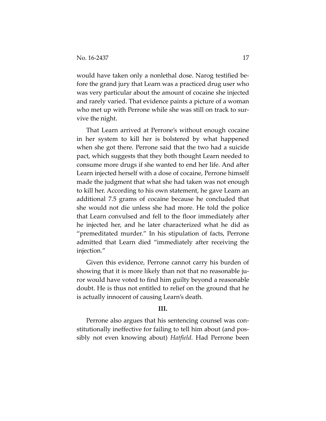would have taken only a nonlethal dose. Narog testified before the grand jury that Learn was a practiced drug user who was very particular about the amount of cocaine she injected and rarely varied. That evidence paints a picture of a woman who met up with Perrone while she was still on track to survive the night.

That Learn arrived at Perrone's without enough cocaine in her system to kill her is bolstered by what happened when she got there. Perrone said that the two had a suicide pact, which suggests that they both thought Learn needed to consume more drugs if she wanted to end her life. And after Learn injected herself with a dose of cocaine, Perrone himself made the judgment that what she had taken was not enough to kill her. According to his own statement, he gave Learn an additional 7.5 grams of cocaine because he concluded that she would not die unless she had more. He told the police that Learn convulsed and fell to the floor immediately after he injected her, and he later characterized what he did as "premeditated murder." In his stipulation of facts, Perrone admitted that Learn died "immediately after receiving the injection."

Given this evidence, Perrone cannot carry his burden of showing that it is more likely than not that no reasonable juror would have voted to find him guilty beyond a reasonable doubt. He is thus not entitled to relief on the ground that he is actually innocent of causing Learn's death.

## **III.**

Perrone also argues that his sentencing counsel was constitutionally ineffective for failing to tell him about (and possibly not even knowing about) *Hatfield*. Had Perrone been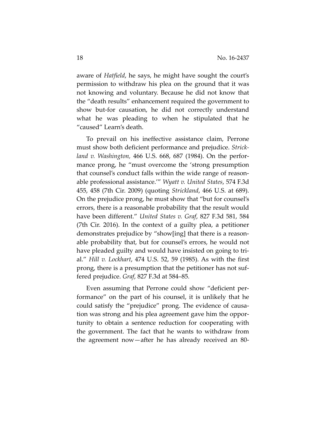aware of *Hatfield*, he says, he might have sought the court's permission to withdraw his plea on the ground that it was not knowing and voluntary. Because he did not know that the "death results" enhancement required the government to show but-for causation, he did not correctly understand what he was pleading to when he stipulated that he "caused" Learn's death.

To prevail on his ineffective assistance claim, Perrone must show both deficient performance and prejudice. *Strickland v. Washington,* 466 U.S. 668, 687 (1984). On the performance prong, he "must overcome the 'strong presumption that counsel's conduct falls within the wide range of reasonable professional assistance.'" *Wyatt v. United States*, 574 F.3d 455, 458 (7th Cir. 2009) (quoting *Strickland*, 466 U.S. at 689). On the prejudice prong, he must show that "but for counsel's errors, there is a reasonable probability that the result would have been different." *United States v. Graf*, 827 F.3d 581, 584 (7th Cir. 2016). In the context of a guilty plea, a petitioner demonstrates prejudice by "show[ing] that there is a reasonable probability that, but for counsel's errors, he would not have pleaded guilty and would have insisted on going to trial." *Hill v. Lockhart*, 474 U.S. 52, 59 (1985). As with the first prong, there is a presumption that the petitioner has not suffered prejudice. *Graf*, 827 F.3d at 584–85*.*

Even assuming that Perrone could show "deficient performance" on the part of his counsel, it is unlikely that he could satisfy the "prejudice" prong. The evidence of causation was strong and his plea agreement gave him the opportunity to obtain a sentence reduction for cooperating with the government. The fact that he wants to withdraw from the agreement now—after he has already received an 80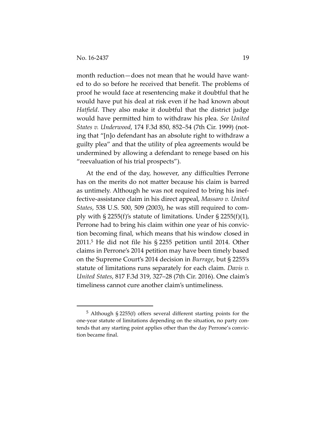month reduction—does not mean that he would have wanted to do so before he received that benefit. The problems of proof he would face at resentencing make it doubtful that he would have put his deal at risk even if he had known about *Hatfield*. They also make it doubtful that the district judge would have permitted him to withdraw his plea. *See United States v. Underwood*, 174 F.3d 850, 852–54 (7th Cir. 1999) (noting that "[n]o defendant has an absolute right to withdraw a guilty plea" and that the utility of plea agreements would be undermined by allowing a defendant to renege based on his "reevaluation of his trial prospects").

At the end of the day, however, any difficulties Perrone has on the merits do not matter because his claim is barred as untimely. Although he was not required to bring his ineffective-assistance claim in his direct appeal, *Massaro v. United States*, 538 U.S. 500, 509 (2003), he was still required to comply with  $\S 2255(f)'s$  statute of limitations. Under  $\S 2255(f)(1)$ , Perrone had to bring his claim within one year of his conviction becoming final, which means that his window closed in 2011.5 He did not file his § 2255 petition until 2014. Other claims in Perrone's 2014 petition may have been timely based on the Supreme Court's 2014 decision in *Burrage*, but § 2255's statute of limitations runs separately for each claim. *Davis v. United States*, 817 F.3d 319, 327–28 (7th Cir. 2016). One claim's timeliness cannot cure another claim's untimeliness.

 <sup>5</sup> Although § 2255(f) offers several different starting points for the one-year statute of limitations depending on the situation, no party contends that any starting point applies other than the day Perrone's conviction became final.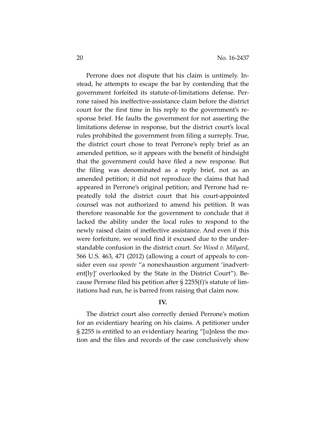Perrone does not dispute that his claim is untimely. Instead, he attempts to escape the bar by contending that the government forfeited its statute-of-limitations defense. Perrone raised his ineffective-assistance claim before the district court for the first time in his reply to the government's response brief. He faults the government for not asserting the limitations defense in response, but the district court's local rules prohibited the government from filing a surreply. True, the district court chose to treat Perrone's reply brief as an amended petition, so it appears with the benefit of hindsight that the government could have filed a new response. But the filing was denominated as a reply brief, not as an amended petition; it did not reproduce the claims that had appeared in Perrone's original petition; and Perrone had repeatedly told the district court that his court-appointed counsel was not authorized to amend his petition. It was therefore reasonable for the government to conclude that it lacked the ability under the local rules to respond to the newly raised claim of ineffective assistance. And even if this were forfeiture, we would find it excused due to the understandable confusion in the district court. *See Wood v. Milyard*, 566 U.S. 463, 471 (2012) (allowing a court of appeals to consider even *sua sponte* "a nonexhaustion argument 'inadvertent[ly]' overlooked by the State in the District Court"). Because Perrone filed his petition after § 2255(f)'s statute of limitations had run, he is barred from raising that claim now.

### **IV.**

The district court also correctly denied Perrone's motion for an evidentiary hearing on his claims. A petitioner under § 2255 is entitled to an evidentiary hearing "[u]nless the motion and the files and records of the case conclusively show